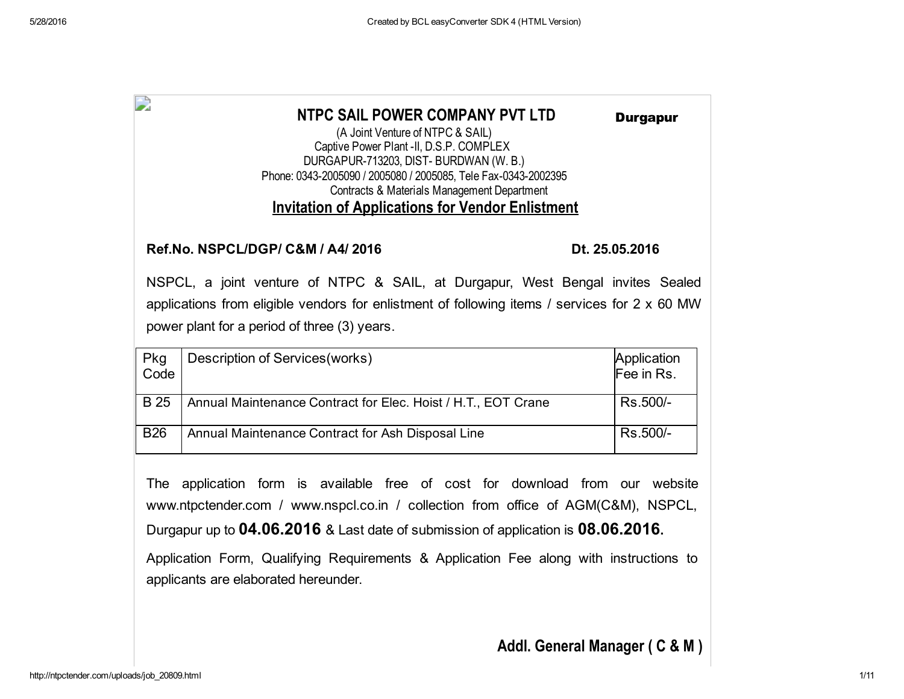| D           | NTPC SAIL POWER COMPANY PVT LTD<br>(A Joint Venture of NTPC & SAIL)<br>Captive Power Plant -II, D.S.P. COMPLEX<br>DURGAPUR-713203, DIST-BURDWAN (W. B.)<br>Phone: 0343-2005090 / 2005080 / 2005085, Tele Fax-0343-2002395<br>Contracts & Materials Management Department<br><b>Invitation of Applications for Vendor Enlistment</b> | <b>Durgapur</b>           |
|-------------|-------------------------------------------------------------------------------------------------------------------------------------------------------------------------------------------------------------------------------------------------------------------------------------------------------------------------------------|---------------------------|
|             | Ref.No. NSPCL/DGP/ C&M / A4/ 2016                                                                                                                                                                                                                                                                                                   | Dt. 25.05.2016            |
|             | NSPCL, a joint venture of NTPC & SAIL, at Durgapur, West Bengal invites Sealed<br>applications from eligible vendors for enlistment of following items / services for 2 x 60 MW<br>power plant for a period of three (3) years.                                                                                                     |                           |
| Pkg<br>Code | Description of Services (works)                                                                                                                                                                                                                                                                                                     | Application<br>Fee in Rs. |
| <b>B</b> 25 | Annual Maintenance Contract for Elec. Hoist / H.T., EOT Crane                                                                                                                                                                                                                                                                       | Rs.500/-                  |
| <b>B26</b>  | Annual Maintenance Contract for Ash Disposal Line                                                                                                                                                                                                                                                                                   | Rs.500/-                  |
|             | The application form is available free of sost for download from our website                                                                                                                                                                                                                                                        |                           |

The application form is available free of cost for download from our website www.ntpctender.com / www.nspcl.co.in / collection from office of AGM(C&M), NSPCL, Durgapur up to 04.06.2016 & Last date of submission of application is 08.06.2016.

Application Form, Qualifying Requirements & Application Fee along with instructions to applicants are elaborated hereunder.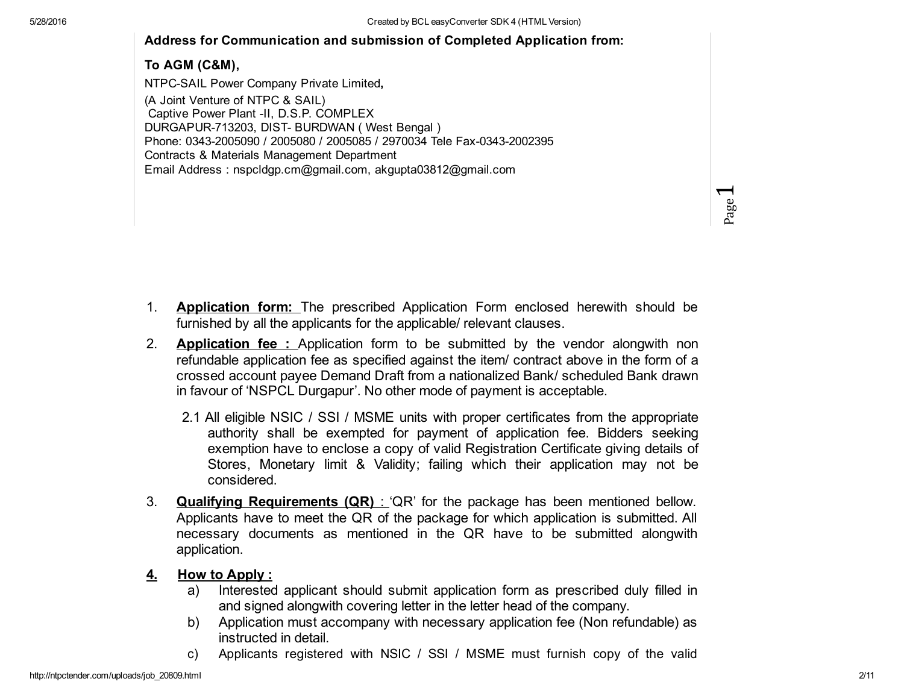# Address for Communication and submission of Completed Application from:

# To AGM (C&M),

NTPC-SAIL Power Company Private Limited, (A Joint Venture of NTPC & SAIL) Captive Power Plant -II, D.S.P. COMPLEX DURGAPUR-713203, DIST- BURDWAN ( West Bengal ) Phone: 0343-2005090 / 2005080 / 2005085 / 2970034 Tele Fax-0343-2002395 Contracts & Materials Management Department Email Address : nspcldgp.cm@gmail.com, akgupta03812@gmail.com

- 1. Application form: The prescribed Application Form enclosed herewith should be furnished by all the applicants for the applicable/ relevant clauses.
- 2. Application fee : Application form to be submitted by the vendor alongwith non refundable application fee as specified against the item/ contract above in the form of a crossed account payee Demand Draft from a nationalized Bank/ scheduled Bank drawn in favour of 'NSPCL Durgapur'. No other mode of payment is acceptable.
	- 2.1 All eligible NSIC / SSI / MSME units with proper certificates from the appropriate authority shall be exempted for payment of application fee. Bidders seeking exemption have to enclose a copy of valid Registration Certificate giving details of Stores, Monetary limit & Validity; failing which their application may not be considered.
- 3. **Qualifying Requirements (QR)** : 'QR' for the package has been mentioned bellow. Applicants have to meet the QR of the package for which application is submitted. All necessary documents as mentioned in the QR have to be submitted alongwith application.

# 4. How to Apply :

- a) Interested applicant should submit application form as prescribed duly filled in and signed alongwith covering letter in the letter head of the company.
- b) Application must accompany with necessary application fee (Non refundable) as instructed in detail.
- c) Applicants registered with NSIC / SSI / MSME must furnish copy of the valid

Page1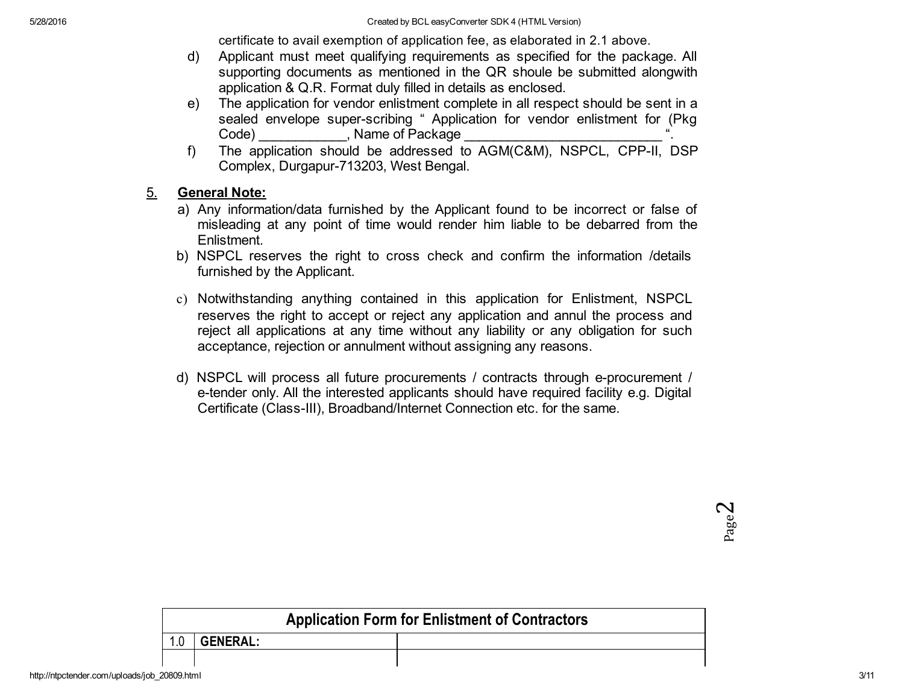certificate to avail exemption of application fee, as elaborated in 2.1 above.

- d) Applicant must meet qualifying requirements as specified for the package. All supporting documents as mentioned in the QR shoule be submitted alongwith application & Q.R. Format duly filled in details as enclosed.
- e) The application for vendor enlistment complete in all respect should be sent in a sealed envelope super-scribing " Application for vendor enlistment for (Pkg Code) Mame of Package
- f) The application should be addressed to AGM(C&M), NSPCL, CPP-II, DSP Complex, Durgapur-713203, West Bengal.

### 5. General Note:

- a) Any information/data furnished by the Applicant found to be incorrect or false of misleading at any point of time would render him liable to be debarred from the Enlistment.
- b) NSPCL reserves the right to cross check and confirm the information /details furnished by the Applicant.
- c) Notwithstanding anything contained in this application for Enlistment, NSPCL reserves the right to accept or reject any application and annul the process and reject all applications at any time without any liability or any obligation for such acceptance, rejection or annulment without assigning any reasons.
- d) NSPCL will process all future procurements / contracts through e-procurement / e-tender only. All the interested applicants should have required facility e.g. Digital Certificate (Class-III), Broadband/Internet Connection etc. for the same.

 $\boldsymbol{\sim}$ Page

| <b>Application Form for Enlistment of Contractors</b> |                 |  |  |  |  |  |  |
|-------------------------------------------------------|-----------------|--|--|--|--|--|--|
| 1.0                                                   | <b>GENERAL:</b> |  |  |  |  |  |  |
|                                                       |                 |  |  |  |  |  |  |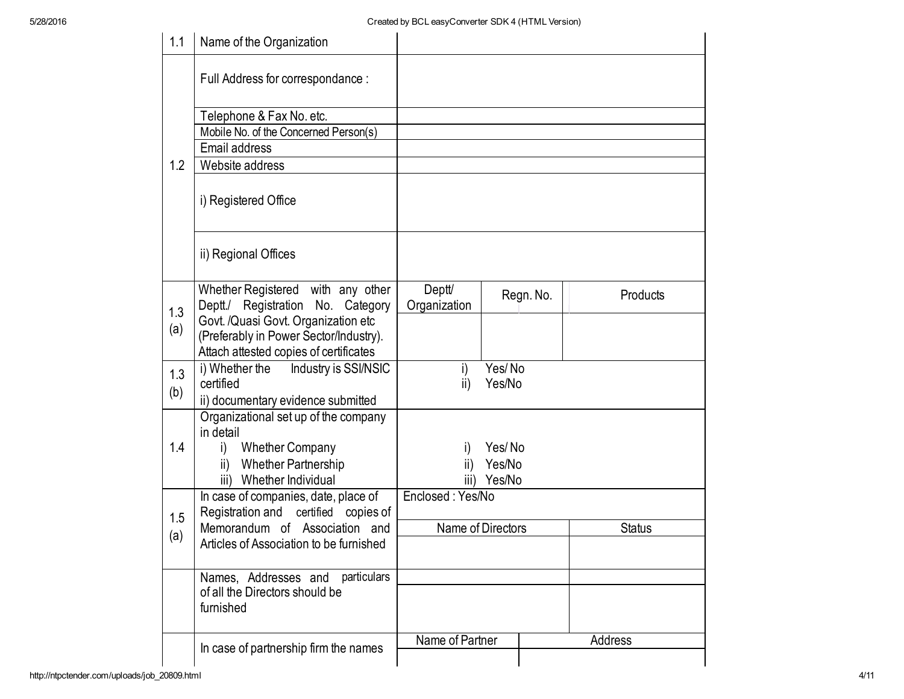| 1.1 | Name of the Organization                                                      |                   |                  |               |          |  |  |
|-----|-------------------------------------------------------------------------------|-------------------|------------------|---------------|----------|--|--|
|     | Full Address for correspondance :                                             |                   |                  |               |          |  |  |
|     | Telephone & Fax No. etc.                                                      |                   |                  |               |          |  |  |
|     | Mobile No. of the Concerned Person(s)                                         |                   |                  |               |          |  |  |
|     | Email address                                                                 |                   |                  |               |          |  |  |
| 1.2 | Website address                                                               |                   |                  |               |          |  |  |
|     | i) Registered Office                                                          |                   |                  |               |          |  |  |
|     | ii) Regional Offices                                                          |                   |                  |               |          |  |  |
|     | Whether Registered with any other                                             | Deptt/            |                  | Regn. No.     | Products |  |  |
| 1.3 | Deptt./ Registration No. Category                                             | Organization      |                  |               |          |  |  |
| (a) | Govt. /Quasi Govt. Organization etc<br>(Preferably in Power Sector/Industry). |                   |                  |               |          |  |  |
|     | Attach attested copies of certificates                                        |                   |                  |               |          |  |  |
| 1.3 | i) Whether the<br>Industry is SSI/NSIC                                        | i)                | Yes/No           |               |          |  |  |
|     | certified                                                                     | ii)               | Yes/No           |               |          |  |  |
| (b) | ii) documentary evidence submitted                                            |                   |                  |               |          |  |  |
|     | Organizational set up of the company                                          |                   |                  |               |          |  |  |
|     | in detail                                                                     |                   |                  |               |          |  |  |
| 1.4 | <b>Whether Company</b><br>i)<br>ii) Whether Partnership                       | I)                | Yes/No<br>Yes/No |               |          |  |  |
|     | Whether Individual<br>iii)                                                    | ii)<br>iii)       | Yes/No           |               |          |  |  |
|     | In case of companies, date, place of                                          | Enclosed: Yes/No  |                  |               |          |  |  |
| 1.5 | Registration and certified copies of                                          |                   |                  |               |          |  |  |
|     | Memorandum of Association and                                                 | Name of Directors |                  | <b>Status</b> |          |  |  |
| (a) | Articles of Association to be furnished                                       |                   |                  |               |          |  |  |
|     | particulars                                                                   |                   |                  |               |          |  |  |
|     | Names, Addresses and<br>of all the Directors should be                        |                   |                  |               |          |  |  |
|     | furnished                                                                     |                   |                  |               |          |  |  |
|     |                                                                               | Name of Partner   |                  |               | Address  |  |  |
|     | In case of partnership firm the names                                         |                   |                  |               |          |  |  |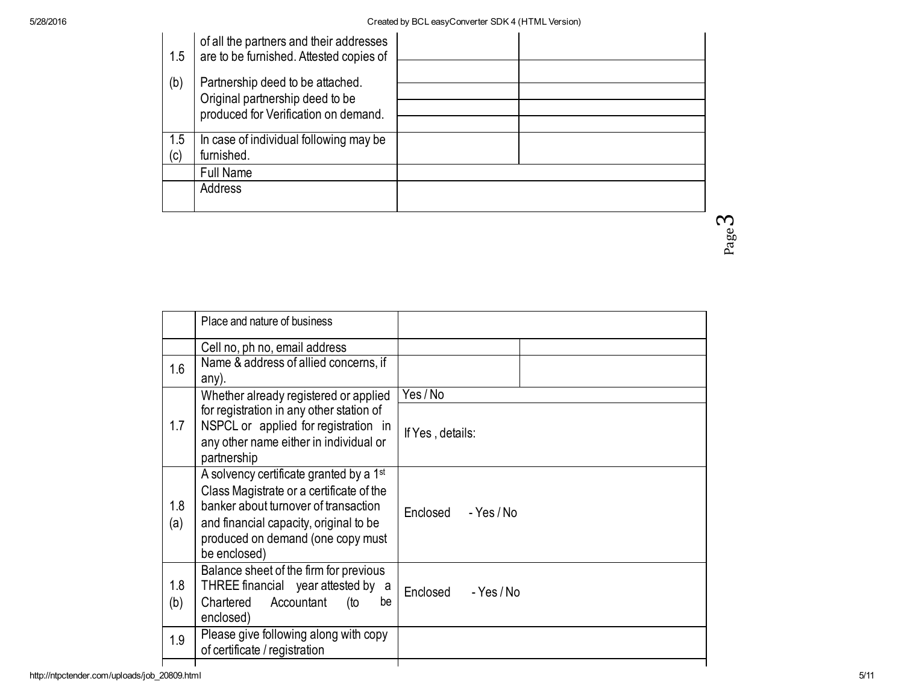| 1.5        | of all the partners and their addresses<br>are to be furnished. Attested copies of                          |  |
|------------|-------------------------------------------------------------------------------------------------------------|--|
| (b)        | Partnership deed to be attached.<br>Original partnership deed to be<br>produced for Verification on demand. |  |
| 1.5<br>(c) | In case of individual following may be<br>furnished.                                                        |  |
|            | <b>Full Name</b>                                                                                            |  |
|            | Address                                                                                                     |  |

ო Page

|            | Place and nature of business                                                                                                                                                                                                           |                              |
|------------|----------------------------------------------------------------------------------------------------------------------------------------------------------------------------------------------------------------------------------------|------------------------------|
|            | Cell no, ph no, email address                                                                                                                                                                                                          |                              |
| 1.6        | Name & address of allied concerns, if<br>any).                                                                                                                                                                                         |                              |
| 1.7        | Whether already registered or applied<br>for registration in any other station of<br>NSPCL or applied for registration in<br>any other name either in individual or<br>partnership                                                     | Yes / No<br>If Yes, details: |
| 1.8<br>(a) | A solvency certificate granted by a 1 <sup>st</sup><br>Class Magistrate or a certificate of the<br>banker about turnover of transaction<br>and financial capacity, original to be<br>produced on demand (one copy must<br>be enclosed) | Enclosed<br>- Yes / No       |
| 1.8<br>(b) | Balance sheet of the firm for previous<br>THREE financial year attested by<br>a<br>Chartered<br>Accountant<br>be<br>(to<br>enclosed)                                                                                                   | Enclosed<br>- Yes / No       |
| 1.9        | Please give following along with copy<br>of certificate / registration                                                                                                                                                                 |                              |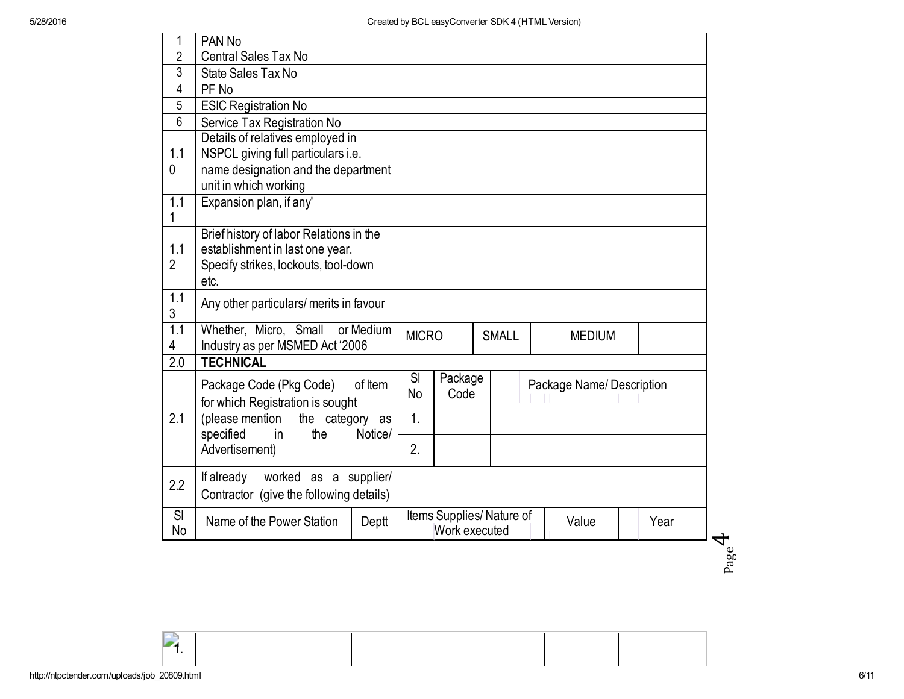| 1                     | PAN <sub>No</sub>                                                                                                                                                   |       |                                                            |  |                 |  |               |                          |  |
|-----------------------|---------------------------------------------------------------------------------------------------------------------------------------------------------------------|-------|------------------------------------------------------------|--|-----------------|--|---------------|--------------------------|--|
| $\overline{2}$        | <b>Central Sales Tax No</b>                                                                                                                                         |       |                                                            |  |                 |  |               |                          |  |
| 3                     | State Sales Tax No                                                                                                                                                  |       |                                                            |  |                 |  |               |                          |  |
| 4                     | PF No                                                                                                                                                               |       |                                                            |  |                 |  |               |                          |  |
| 5                     | <b>ESIC Registration No</b>                                                                                                                                         |       |                                                            |  |                 |  |               |                          |  |
| 6                     | Service Tax Registration No                                                                                                                                         |       |                                                            |  |                 |  |               |                          |  |
| 1.1<br>0              | Details of relatives employed in<br>NSPCL giving full particulars i.e.<br>name designation and the department                                                       |       |                                                            |  |                 |  |               |                          |  |
|                       | unit in which working                                                                                                                                               |       |                                                            |  |                 |  |               |                          |  |
| 1.1                   | Expansion plan, if any'                                                                                                                                             |       |                                                            |  |                 |  |               |                          |  |
| 1.1<br>$\overline{2}$ | Brief history of labor Relations in the<br>establishment in last one year.<br>Specify strikes, lockouts, tool-down<br>etc.                                          |       |                                                            |  |                 |  |               |                          |  |
| 1.1<br>3              | Any other particulars/ merits in favour                                                                                                                             |       |                                                            |  |                 |  |               |                          |  |
| 1.1<br>4              | Whether, Micro, Small or Medium<br>Industry as per MSMED Act '2006                                                                                                  |       | <b>MICRO</b>                                               |  | <b>SMALL</b>    |  | <b>MEDIUM</b> |                          |  |
| 2.0                   | <b>TECHNICAL</b>                                                                                                                                                    |       |                                                            |  |                 |  |               |                          |  |
|                       | Package Code (Pkg Code)<br>of Item<br>for which Registration is sought<br>(please mention<br>the category as<br>specified<br>in<br>the<br>Notice/<br>Advertisement) |       | SI<br><b>No</b>                                            |  | Package<br>Code |  |               | Package Name/Description |  |
| 2.1                   |                                                                                                                                                                     |       | 1.                                                         |  |                 |  |               |                          |  |
|                       |                                                                                                                                                                     |       | 2.                                                         |  |                 |  |               |                          |  |
| 2.2                   | If already<br>worked as a supplier/<br>Contractor (give the following details)                                                                                      |       |                                                            |  |                 |  |               |                          |  |
| SI<br>No              | Name of the Power Station                                                                                                                                           | Deptt | Items Supplies/Nature of<br>Value<br>Year<br>Work executed |  |                 |  |               | ₹                        |  |

Page

1.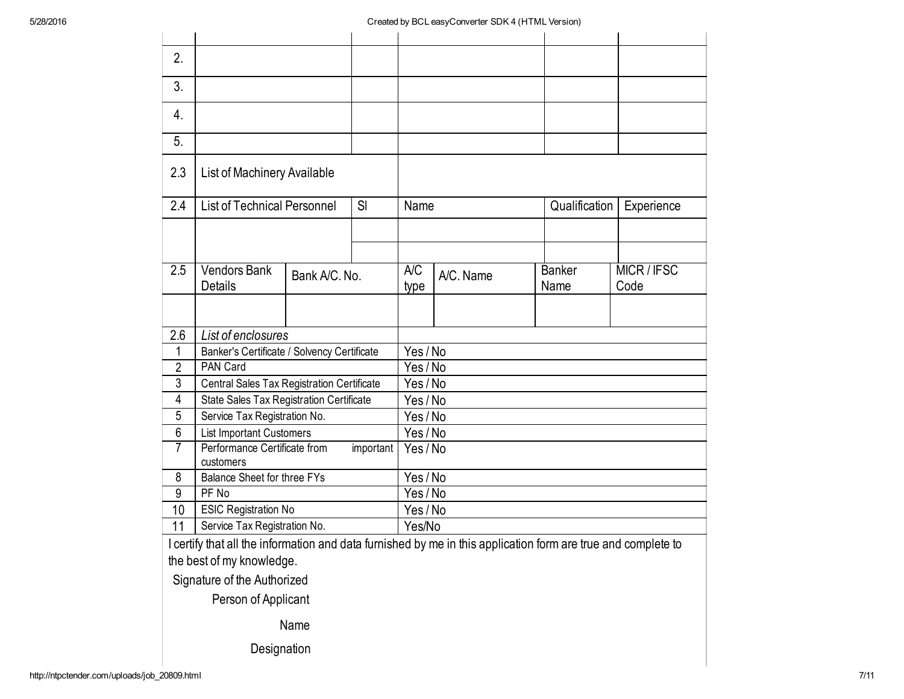| 2.                                 |                                                        |                                 |        |          |           |  |                       |                   |  |
|------------------------------------|--------------------------------------------------------|---------------------------------|--------|----------|-----------|--|-----------------------|-------------------|--|
| 3.                                 |                                                        |                                 |        |          |           |  |                       |                   |  |
| 4.                                 |                                                        |                                 |        |          |           |  |                       |                   |  |
| 5.                                 |                                                        |                                 |        |          |           |  |                       |                   |  |
| 2.3                                | List of Machinery Available                            |                                 |        |          |           |  |                       |                   |  |
| 2.4                                | <b>List of Technical Personnel</b>                     |                                 | SI     | Name     |           |  | Qualification         | Experience        |  |
|                                    |                                                        |                                 |        |          |           |  |                       |                   |  |
|                                    |                                                        |                                 |        |          |           |  |                       |                   |  |
| $\overline{2.5}$                   | <b>Vendors Bank</b><br><b>Details</b>                  | Bank A/C, No.                   |        |          | A/C. Name |  | <b>Banker</b><br>Name | MICR/IFSC<br>Code |  |
|                                    |                                                        |                                 |        |          |           |  |                       |                   |  |
| 2.6                                | List of enclosures                                     |                                 |        |          |           |  |                       |                   |  |
| $\mathbf{1}$                       | Banker's Certificate / Solvency Certificate            |                                 |        | Yes / No |           |  |                       |                   |  |
| 2                                  | <b>PAN Card</b>                                        |                                 |        | Yes/No   |           |  |                       |                   |  |
| 3                                  | Central Sales Tax Registration Certificate             |                                 |        | Yes / No |           |  |                       |                   |  |
| 4                                  | State Sales Tax Registration Certificate               |                                 |        | Yes / No |           |  |                       |                   |  |
| 5                                  | Service Tax Registration No.                           | Yes / No                        |        |          |           |  |                       |                   |  |
| 6                                  |                                                        | <b>List Important Customers</b> |        |          | Yes / No  |  |                       |                   |  |
| 7                                  | Performance Certificate from<br>important<br>customers |                                 |        | Yes/No   |           |  |                       |                   |  |
| 8                                  | <b>Balance Sheet for three FYs</b>                     |                                 |        | Yes / No |           |  |                       |                   |  |
| 9                                  | PF No                                                  |                                 |        | Yes / No |           |  |                       |                   |  |
| 10                                 | <b>ESIC Registration No</b>                            |                                 |        | Yes / No |           |  |                       |                   |  |
| 11<br>Service Tax Registration No. |                                                        |                                 | Yes/No |          |           |  |                       |                   |  |

I certify that all the information and data furnished by me in this application form are true and complete to the best of my knowledge.

Signature of the Authorized

Person of Applicant

Name

Designation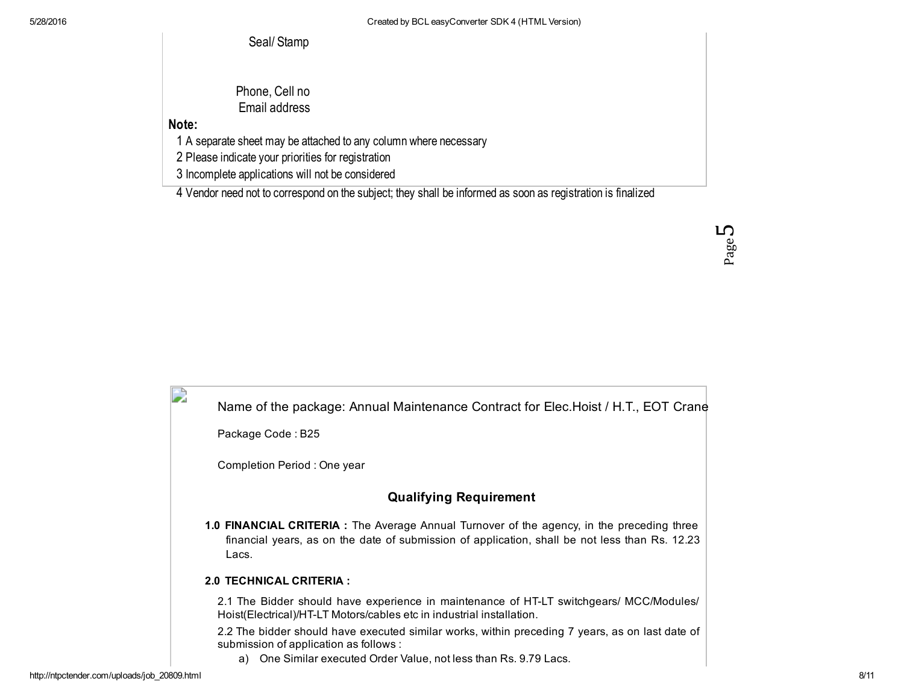Seal/ Stamp

Phone, Cell no Email address

Note:

D

1 A separate sheet may be attached to any column where necessary

2 Please indicate your priorities for registration

3 Incomplete applications will not be considered

4 Vendor need not to correspond on the subject; they shall be informed as soon as registration is finalized

ഥ Page

| Name of the package: Annual Maintenance Contract for Elec. Hoist / H.T., EOT Crane |  |
|------------------------------------------------------------------------------------|--|
| Package Code: B25                                                                  |  |

Completion Period : One year

# Qualifying Requirement

1.0 FINANCIAL CRITERIA : The Average Annual Turnover of the agency, in the preceding three financial years, as on the date of submission of application, shall be not less than Rs. 12.23 Lacs.

#### 2.0 TECHNICAL CRITERIA :

2.1 The Bidder should have experience in maintenance of HTLT switchgears/ MCC/Modules/ Hoist(Electrical)/HTLT Motors/cables etc in industrial installation.

2.2 The bidder should have executed similar works, within preceding 7 years, as on last date of submission of application as follows :

a) One Similar executed Order Value, not less than Rs. 9.79 Lacs.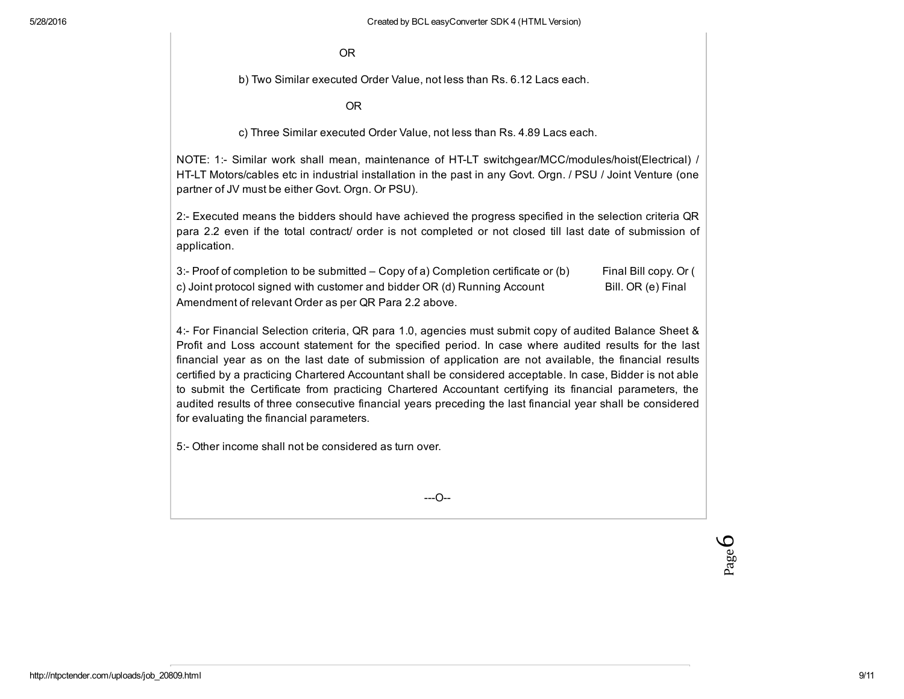OR

b) Two Similar executed Order Value, not less than Rs. 6.12 Lacs each.

OR

c) Three Similar executed Order Value, not less than Rs. 4.89 Lacs each.

NOTE: 1: Similar work shall mean, maintenance of HTLT switchgear/MCC/modules/hoist(Electrical) / HTLT Motors/cables etc in industrial installation in the past in any Govt. Orgn. / PSU / Joint Venture (one partner of JV must be either Govt. Orgn. Or PSU).

2: Executed means the bidders should have achieved the progress specified in the selection criteria QR para 2.2 even if the total contract/ order is not completed or not closed till last date of submission of application.

3: Proof of completion to be submitted – Copy of a) Completion certificate or (b) Final Bill copy. Or ( c) Joint protocol signed with customer and bidder OR (d) Running Account Bill. OR (e) Final Amendment of relevant Order as per QR Para 2.2 above.

4: For Financial Selection criteria, QR para 1.0, agencies must submit copy of audited Balance Sheet & Profit and Loss account statement for the specified period. In case where audited results for the last financial year as on the last date of submission of application are not available, the financial results certified by a practicing Chartered Accountant shall be considered acceptable. In case, Bidder is not able to submit the Certificate from practicing Chartered Accountant certifying its financial parameters, the audited results of three consecutive financial years preceding the last financial year shall be considered for evaluating the financial parameters.

5: Other income shall not be considered as turn over.

 $-$ -O $-$ 

6Page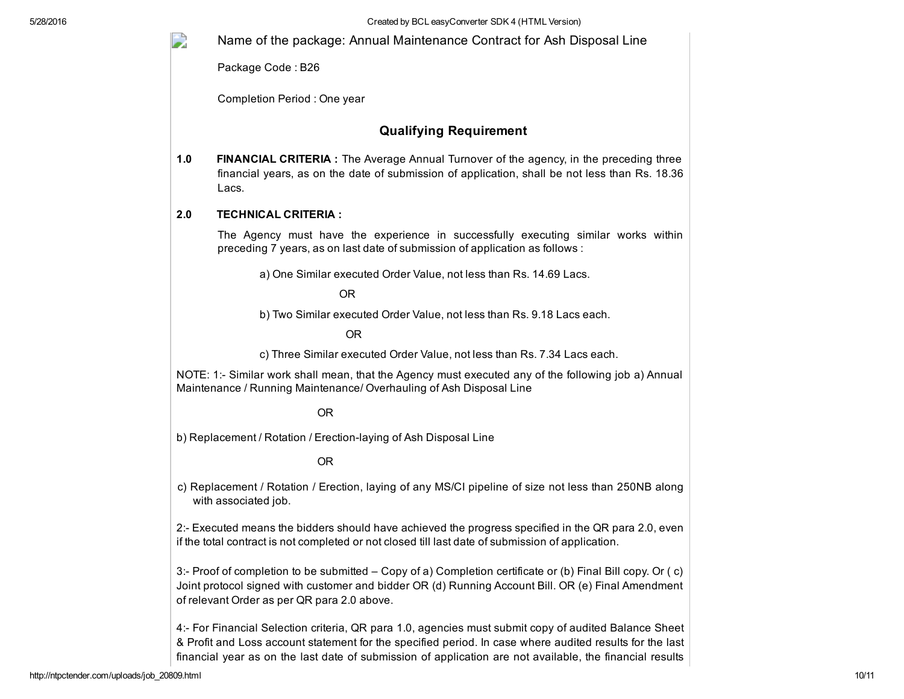5/28/2016 Created by BCL easyConverter SDK 4 (HTML Version)

Name of the package: Annual Maintenance Contract for Ash Disposal Line

Package Code : B26

D

Completion Period : One year

### Qualifying Requirement

1.0 FINANCIAL CRITERIA : The Average Annual Turnover of the agency, in the preceding three financial years, as on the date of submission of application, shall be not less than Rs. 18.36 Lacs.

#### 2.0 TECHNICAL CRITERIA :

The Agency must have the experience in successfully executing similar works within preceding 7 years, as on last date of submission of application as follows :

a) One Similar executed Order Value, not less than Rs. 14.69 Lacs.

OR

b) Two Similar executed Order Value, not less than Rs. 9.18 Lacs each.

OR

c) Three Similar executed Order Value, not less than Rs. 7.34 Lacs each.

NOTE: 1: Similar work shall mean, that the Agency must executed any of the following job a) Annual Maintenance / Running Maintenance/ Overhauling of Ash Disposal Line

#### OR

b) Replacement / Rotation / Erection-laying of Ash Disposal Line

#### OR

c) Replacement / Rotation / Erection, laying of any MS/CI pipeline of size not less than 250NB along with associated job.

2: Executed means the bidders should have achieved the progress specified in the QR para 2.0, even if the total contract is not completed or not closed till last date of submission of application.

3: Proof of completion to be submitted – Copy of a) Completion certificate or (b) Final Bill copy. Or ( c) Joint protocol signed with customer and bidder OR (d) Running Account Bill. OR (e) Final Amendment of relevant Order as per QR para 2.0 above.

4: For Financial Selection criteria, QR para 1.0, agencies must submit copy of audited Balance Sheet & Profit and Loss account statement for the specified period. In case where audited results for the last financial year as on the last date of submission of application are not available, the financial results